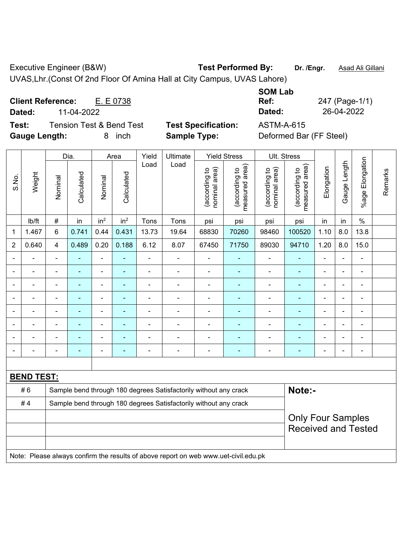Executive Engineer (B&W) **Test Performed By:** Dr. /Engr. **Asad Ali Gillani** Collegian

UVAS,Lhr.(Const Of 2nd Floor Of Amina Hall at City Campus, UVAS Lahore)

**Client Reference:** E. E 0738 **Dated:** 11-04-2022 **Dated:** 26-04-2022

**Test:** Tension Test & Bend Test **Test Specification:** ASTM-A-615 **Gauge Length:** 8 inch **Sample Type:** Deformed Bar (FF Steel)

**SOM Lab Ref:** 247 (Page-1/1)

|                |                   |                | Dia.                     |                          | Area            | Yield                    | Ultimate                                                                            |                                | <b>Yield Stress</b>             |                                | Ult. Stress                                            |                |                |                       |         |
|----------------|-------------------|----------------|--------------------------|--------------------------|-----------------|--------------------------|-------------------------------------------------------------------------------------|--------------------------------|---------------------------------|--------------------------------|--------------------------------------------------------|----------------|----------------|-----------------------|---------|
| S.No.          | Weight            | Nominal        | Calculated               | Nominal                  | Calculated      | Load                     | Load                                                                                | nominal area)<br>(according to | (according to<br>measured area) | nominal area)<br>(according to | (according to<br>measured area)                        | Elongation     | Gauge Length   | Elongation<br>$%$ age | Remarks |
|                | lb/ft             | #              | in                       | in <sup>2</sup>          | in <sup>2</sup> | Tons                     | Tons                                                                                | psi                            | psi                             | psi                            | psi                                                    | in             | in             | $\%$                  |         |
| 1              | 1.467             | 6              | 0.741                    | 0.44                     | 0.431           | 13.73                    | 19.64                                                                               | 68830                          | 70260                           | 98460                          | 100520                                                 | 1.10           | 8.0            | 13.8                  |         |
| $\overline{2}$ | 0.640             | 4              | 0.489                    | 0.20                     | 0.188           | 6.12                     | 8.07                                                                                | 67450                          | 71750                           | 89030                          | 94710                                                  | 1.20           | 8.0            | 15.0                  |         |
|                |                   | $\blacksquare$ | $\blacksquare$           | $\blacksquare$           |                 | $\blacksquare$           | ÷                                                                                   | $\blacksquare$                 | $\blacksquare$                  | ÷                              | ÷,                                                     |                |                | $\blacksquare$        |         |
|                |                   |                | $\blacksquare$           |                          |                 |                          | $\blacksquare$                                                                      | $\blacksquare$                 | $\blacksquare$                  | ۰                              | $\blacksquare$                                         |                |                | $\blacksquare$        |         |
|                |                   |                |                          | $\overline{\phantom{0}}$ |                 |                          |                                                                                     | $\blacksquare$                 |                                 | ٠                              |                                                        |                |                | $\blacksquare$        |         |
|                |                   | ÷              | $\overline{\phantom{0}}$ | $\blacksquare$           |                 |                          | $\blacksquare$                                                                      | $\blacksquare$                 | ۰                               | ۰                              | $\overline{\phantom{0}}$                               |                | $\blacksquare$ | $\blacksquare$        |         |
|                | ۰                 | $\blacksquare$ | $\blacksquare$           | $\blacksquare$           |                 | $\overline{\phantom{0}}$ | $\blacksquare$                                                                      | $\blacksquare$                 | ۰                               | ÷                              | $\blacksquare$                                         | $\blacksquare$ | $\blacksquare$ | $\blacksquare$        |         |
|                | ۰                 |                | $\blacksquare$           | $\overline{\phantom{0}}$ |                 | Ē,                       | $\blacksquare$                                                                      | -                              | ۰                               | $\overline{a}$                 | $\blacksquare$                                         |                |                | $\blacksquare$        |         |
|                |                   |                |                          |                          |                 |                          | $\blacksquare$                                                                      |                                |                                 |                                | $\blacksquare$                                         |                |                | $\blacksquare$        |         |
|                |                   | $\blacksquare$ |                          | $\overline{\phantom{0}}$ |                 |                          | $\overline{\phantom{0}}$                                                            | $\blacksquare$                 | ÷                               | ۰                              | ۰                                                      | $\blacksquare$ |                | $\blacksquare$        |         |
|                |                   |                |                          |                          |                 |                          |                                                                                     |                                |                                 |                                |                                                        |                |                |                       |         |
|                | <b>BEND TEST:</b> |                |                          |                          |                 |                          |                                                                                     |                                |                                 |                                |                                                        |                |                |                       |         |
|                | #6                |                |                          |                          |                 |                          | Sample bend through 180 degrees Satisfactorily without any crack                    |                                |                                 |                                | Note:-                                                 |                |                |                       |         |
|                | #4                |                |                          |                          |                 |                          | Sample bend through 180 degrees Satisfactorily without any crack                    |                                |                                 |                                |                                                        |                |                |                       |         |
|                |                   |                |                          |                          |                 |                          |                                                                                     |                                |                                 |                                | <b>Only Four Samples</b><br><b>Received and Tested</b> |                |                |                       |         |
|                |                   |                |                          |                          |                 |                          | Note: Please always confirm the results of above report on web www.uet-civil.edu.pk |                                |                                 |                                |                                                        |                |                |                       |         |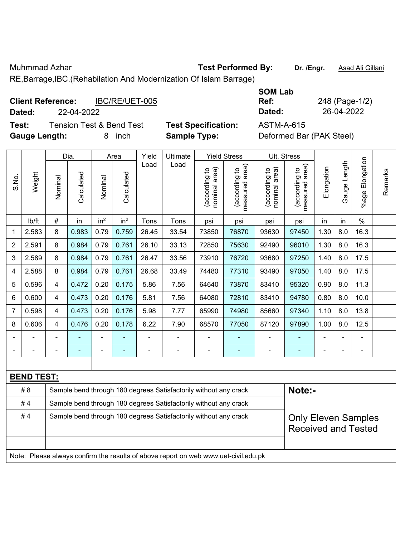Muhmmad Azhar **Test Performed By: Dr. /Engr.** Asad Ali Gillani

RE,Barrage,IBC.(Rehabilation And Modernization Of Islam Barrage)

| <b>Client Reference:</b> |            | IBC/RE/UET-005 |
|--------------------------|------------|----------------|
| Dated:                   | 22-04-2022 |                |
|                          |            |                |

**Test:** Tension Test & Bend Test **Test Specification:** ASTM-A-615 **Gauge Length:** 8 inch **Sample Type:** Deformed Bar (PAK Steel)

**SOM Lab Ref:** 248 (Page-1/2) **Dated:** 22-04-2022 **Dated:** 26-04-2022

|                |                   |                                                                                     | Dia.       |                 | Area            | Yield          | Ultimate                                                         |                                | <b>Yield Stress</b>             |                                | Ult. Stress                     |                |              |                       |         |
|----------------|-------------------|-------------------------------------------------------------------------------------|------------|-----------------|-----------------|----------------|------------------------------------------------------------------|--------------------------------|---------------------------------|--------------------------------|---------------------------------|----------------|--------------|-----------------------|---------|
| S.No.          | Weight            | Nominal                                                                             | Calculated | Nominal         | Calculated      | Load           | Load                                                             | nominal area)<br>(according to | (according to<br>measured area) | (according to<br>nominal area) | (according to<br>measured area) | Elongation     | Gauge Length | Elongation<br>$%$ age | Remarks |
|                | lb/ft             | #                                                                                   | in         | in <sup>2</sup> | in <sup>2</sup> | Tons           | Tons                                                             | psi                            | psi                             | psi                            | psi                             | in             | in           | $\frac{0}{0}$         |         |
| $\mathbf{1}$   | 2.583             | 8                                                                                   | 0.983      | 0.79            | 0.759           | 26.45          | 33.54                                                            | 73850                          | 76870                           | 93630                          | 97450                           | 1.30           | 8.0          | 16.3                  |         |
| $\overline{2}$ | 2.591             | 8                                                                                   | 0.984      | 0.79            | 0.761           | 26.10          | 33.13                                                            | 72850                          | 75630                           | 92490                          | 96010                           | 1.30           | 8.0          | 16.3                  |         |
| 3              | 2.589             | 8                                                                                   | 0.984      | 0.79            | 0.761           | 26.47          | 33.56                                                            | 73910                          | 76720                           | 93680                          | 97250                           | 1.40           | 8.0          | 17.5                  |         |
| 4              | 2.588             | 8                                                                                   | 0.984      | 0.79            | 0.761           | 26.68          | 33.49                                                            | 74480                          | 77310                           | 93490                          | 97050                           | 1.40           | 8.0          | 17.5                  |         |
| 5              | 0.596             | 4                                                                                   | 0.472      | 0.20            | 0.175           | 5.86           | 7.56                                                             | 64640                          | 73870                           | 83410                          | 95320                           | 0.90           | 8.0          | 11.3                  |         |
| 6              | 0.600             | 4                                                                                   | 0.473      | 0.20            | 0.176           | 5.81           | 7.56                                                             | 64080                          | 72810                           | 83410                          | 94780                           | 0.80           | 8.0          | 10.0                  |         |
| $\overline{7}$ | 0.598             | 4                                                                                   | 0.473      | 0.20            | 0.176           | 5.98           | 7.77                                                             | 65990                          | 74980                           | 85660                          | 97340                           | 1.10           | 8.0          | 13.8                  |         |
| 8              | 0.606             | 4                                                                                   | 0.476      | 0.20            | 0.178           | 6.22           | 7.90                                                             | 68570                          | 77050                           | 87120                          | 97890                           | 1.00           | 8.0          | 12.5                  |         |
|                |                   | $\blacksquare$                                                                      |            |                 |                 |                | $\frac{1}{2}$                                                    | $\blacksquare$                 |                                 |                                |                                 |                |              | $\blacksquare$        |         |
|                |                   |                                                                                     | ÷          | $\overline{a}$  | $\blacksquare$  | $\blacksquare$ | $\qquad \qquad \blacksquare$                                     | $\blacksquare$                 | $\blacksquare$                  | $\blacksquare$                 | $\blacksquare$                  | $\blacksquare$ |              | $\blacksquare$        |         |
|                |                   |                                                                                     |            |                 |                 |                |                                                                  |                                |                                 |                                |                                 |                |              |                       |         |
|                | <b>BEND TEST:</b> |                                                                                     |            |                 |                 |                |                                                                  |                                |                                 |                                |                                 |                |              |                       |         |
|                | #8                |                                                                                     |            |                 |                 |                | Sample bend through 180 degrees Satisfactorily without any crack |                                |                                 |                                | Note:-                          |                |              |                       |         |
|                | #4                | Sample bend through 180 degrees Satisfactorily without any crack                    |            |                 |                 |                |                                                                  |                                |                                 |                                |                                 |                |              |                       |         |
|                | #4                |                                                                                     |            |                 |                 |                | Sample bend through 180 degrees Satisfactorily without any crack |                                |                                 |                                | <b>Only Eleven Samples</b>      |                |              |                       |         |
|                |                   |                                                                                     |            |                 |                 |                |                                                                  |                                |                                 |                                | <b>Received and Tested</b>      |                |              |                       |         |
|                |                   |                                                                                     |            |                 |                 |                |                                                                  |                                |                                 |                                |                                 |                |              |                       |         |
|                |                   | Note: Please always confirm the results of above report on web www.uet-civil.edu.pk |            |                 |                 |                |                                                                  |                                |                                 |                                |                                 |                |              |                       |         |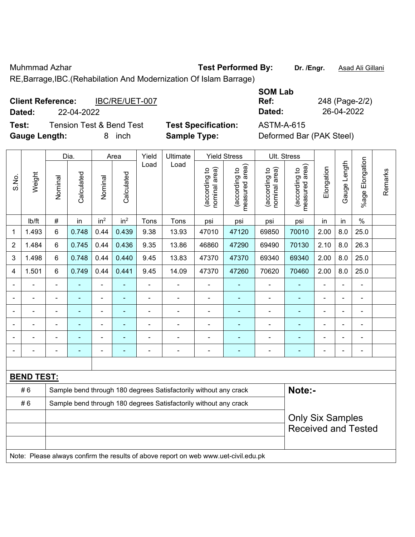S.No.

Weight

Nominal

Vominal

Muhmmad Azhar **Test Performed By: Dr. /Engr.** Asad Ali Gillani

Remarks

Remarks

RE,Barrage,IBC.(Rehabilation And Modernization Of Islam Barrage)

| <b>Client Reference:</b> | IBC/RE/UET-007 | Ref:   | 248 (Page-2/ |
|--------------------------|----------------|--------|--------------|
| Dated:                   | 22-04-2022     | Dated: | 26-04-2022   |

**Test:** Tension Test & Bend Test **Test Specification:** ASTM-A-615 **Gauge Length:** 8 inch **Sample Type:** Deformed Bar (PAK Steel)

**SOM Lab Ref:** 248 (Page-2/2)

Dia. | Area | Yield | Ultimate | Yield Stress | Ult. Stress %age Elongation %age Elongation Gauge Length Gauge Length Load Load (according to<br>measured area) measured area) (according to<br>measured area) measured area) (according to<br>nominal area) (according to<br>nominal area) **Elongation** nominal area) nominal area) Elongation (according to (according to (according to (according to **Calculated Calculated** Calculated Calculated Nominal Vominal | lb/ft | # | in | in<sup>2</sup> | in<sup>2</sup> | Tons | Tons | psi | psi | psi | psi | in | in | % 1 | 1.493 | 6 | 0.748 | 0.44 | 0.439 | 9.38 | 13.93 | 47010 | 47120 | 69850 | 70010 | 2.00 | 8.0 | 25.0 2 | 1.484 | 6 | 0.745 | 0.44 | 0.436 | 9.35 | 13.86 | 46860 | 47290 | 69490 | 70130 | 2.10 | 8.0 | 26.3 3 | 1.498 | 6 | 0.748 | 0.44 | 0.440 | 9.45 | 13.83 | 47370 | 47370 | 69340 | 69340 | 2.00 | 8.0 | 25.0 4 | 1.501 | 6 | 0.749 | 0.44 | 0.441 | 9.45 | 14.09 | 47370 | 47260 | 70620 | 70460 | 2.00 | 8.0 | 25.0 - - - - - - - - - - - - - - - - - - - - - - - - - - - - - - - - - - - - - - - - - - - - - - - - - - - - - - - - - - - -

**BEND TEST:**  # 6 Sample bend through 180 degrees Satisfactorily without any crack **Note:- Note:** #6 Sample bend through 180 degrees Satisfactorily without any crack Only Six Samples Received and Tested Note: Please always confirm the results of above report on web www.uet-civil.edu.pk

- - - - - - - - - - - - - - - - - - - - - - - - - - - - - -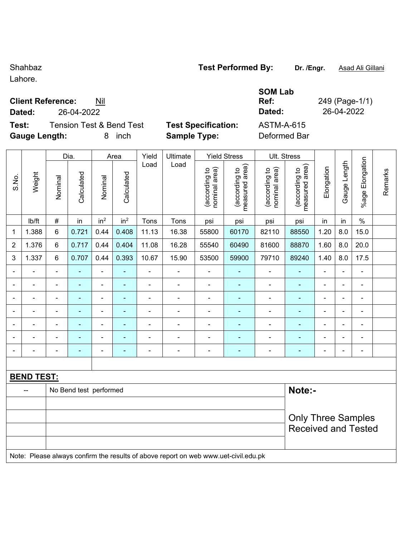Lahore.

### **Client Reference:** Nil

**Test:** Tension Test & Bend Test **Test Specification:** ASTM-A-615 **Gauge Length:** 8 inch **Sample Type:** Deformed Bar

| TVƏLT VITOTINGU DYT |  |  |
|---------------------|--|--|
|                     |  |  |
|                     |  |  |

**SOM Lab Ref:** 249 (Page-1/1) **Dated:** 26-04-2022 **Dated:** 26-04-2022

|                |                   |                          | Dia.                   |                          | Area            | Yield          | Ultimate                                                                            |                                | <b>Yield Stress</b>             |                                | Ult. Stress                     |                |                          |                          |         |
|----------------|-------------------|--------------------------|------------------------|--------------------------|-----------------|----------------|-------------------------------------------------------------------------------------|--------------------------------|---------------------------------|--------------------------------|---------------------------------|----------------|--------------------------|--------------------------|---------|
| S.No.          | Weight            | Nominal                  | Calculated             | Nominal                  | Calculated      | Load           | Load                                                                                | nominal area)<br>(according to | measured area)<br>(according to | nominal area)<br>(according to | measured area)<br>(according to | Elongation     | Gauge Length             | %age Elongation          | Remarks |
|                | lb/ft             | $\#$                     | in                     | in <sup>2</sup>          | in <sup>2</sup> | Tons           | Tons                                                                                | psi                            | psi                             | psi                            | psi                             | in             | in                       | $\%$                     |         |
| 1              | 1.388             | 6                        | 0.721                  | 0.44                     | 0.408           | 11.13          | 16.38                                                                               | 55800                          | 60170                           | 82110                          | 88550                           | 1.20           | 8.0                      | 15.0                     |         |
| $\overline{2}$ | 1.376             | 6                        | 0.717                  | 0.44                     | 0.404           | 11.08          | 16.28                                                                               | 55540                          | 60490                           | 81600                          | 88870                           | 1.60           | 8.0                      | 20.0                     |         |
| 3              | 1.337             | 6                        | 0.707                  | 0.44                     | 0.393           | 10.67          | 15.90                                                                               | 53500                          | 59900                           | 79710                          | 89240                           | 1.40           | 8.0                      | 17.5                     |         |
|                |                   | $\blacksquare$           |                        | $\blacksquare$           |                 |                |                                                                                     |                                |                                 | ۰                              |                                 |                | $\overline{\phantom{0}}$ |                          |         |
|                | $\blacksquare$    | $\overline{\phantom{0}}$ | $\blacksquare$         | $\blacksquare$           | ۰               | $\blacksquare$ | ÷                                                                                   | $\blacksquare$                 | ٠                               | ۰                              | $\blacksquare$                  | $\blacksquare$ | $\blacksquare$           | $\blacksquare$           |         |
|                |                   | ä,                       | ä,                     | $\blacksquare$           | ۰               | Ē,             | ÷                                                                                   | $\blacksquare$                 | $\blacksquare$                  | $\blacksquare$                 | $\blacksquare$                  | $\blacksquare$ | $\blacksquare$           | $\blacksquare$           |         |
|                | ÷                 | $\blacksquare$           | $\blacksquare$         | $\blacksquare$           | ÷               | $\blacksquare$ | $\frac{1}{2}$                                                                       | $\blacksquare$                 | $\blacksquare$                  | ۰                              | $\blacksquare$                  | $\blacksquare$ | $\blacksquare$           | $\overline{\phantom{a}}$ |         |
|                | $\blacksquare$    | ä,                       | $\blacksquare$         |                          | ÷               | $\blacksquare$ | ÷,                                                                                  | $\blacksquare$                 | $\blacksquare$                  | ÷,                             |                                 |                | $\blacksquare$           | $\blacksquare$           |         |
|                |                   |                          |                        |                          |                 |                | ÷                                                                                   | $\blacksquare$                 | $\blacksquare$                  | $\blacksquare$                 | $\blacksquare$                  |                |                          |                          |         |
|                |                   | $\overline{\phantom{0}}$ |                        | $\overline{\phantom{0}}$ |                 |                |                                                                                     |                                | $\blacksquare$                  | ۰                              | $\blacksquare$                  | $\blacksquare$ | Ē,                       | $\blacksquare$           |         |
|                |                   |                          |                        |                          |                 |                |                                                                                     |                                |                                 |                                |                                 |                |                          |                          |         |
|                | <b>BEND TEST:</b> |                          |                        |                          |                 |                |                                                                                     |                                |                                 |                                |                                 |                |                          |                          |         |
|                |                   |                          | No Bend test performed |                          |                 |                |                                                                                     |                                |                                 |                                | Note:-                          |                |                          |                          |         |
|                |                   |                          |                        |                          |                 |                |                                                                                     |                                |                                 |                                |                                 |                |                          |                          |         |
|                |                   |                          |                        |                          |                 |                |                                                                                     |                                |                                 |                                | <b>Only Three Samples</b>       |                |                          |                          |         |
|                |                   |                          |                        |                          |                 |                |                                                                                     |                                |                                 |                                | <b>Received and Tested</b>      |                |                          |                          |         |
|                |                   |                          |                        |                          |                 |                |                                                                                     |                                |                                 |                                |                                 |                |                          |                          |         |
|                |                   |                          |                        |                          |                 |                | Note: Please always confirm the results of above report on web www.uet-civil.edu.pk |                                |                                 |                                |                                 |                |                          |                          |         |

Shahbaz **Test Performed By: Dr. /Engr.** Asad Ali Gillani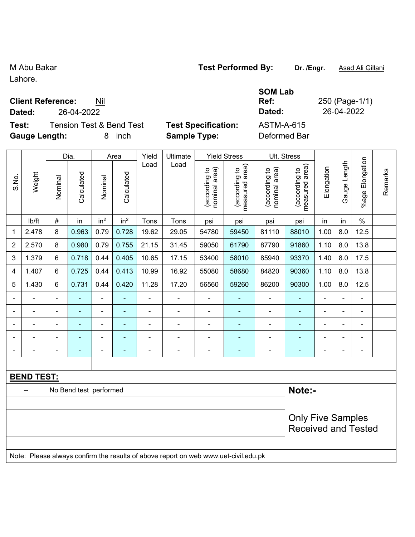#### Lahore.

#### **Client Reference:** Nil

**Dated:** 26-04-2022 **Dated:** 26-04-2022

**Test:** Tension Test & Bend Test **Test Specification:** ASTM-A-615 **Gauge Length:** 8 inch **Sample Type:** Deformed Bar

Dia. | Area | Yield | Ultimate | Yield Stress | Ult. Stress

| <b>Test Specification:</b> |  |  |
|----------------------------|--|--|

**SOM Lab** 

**Ref:** 250 (Page-1/1)

|                          |                   |                | Dia.                   |                          | Area            | Yield                    | Ultimate |                                | Yield Stress                    | UII. Stress                    |                                 |                |                |                          |         |
|--------------------------|-------------------|----------------|------------------------|--------------------------|-----------------|--------------------------|----------|--------------------------------|---------------------------------|--------------------------------|---------------------------------|----------------|----------------|--------------------------|---------|
| S.No.                    | Weight            | Nominal        | Calculated             | Nominal                  | Calculated      | Load                     | Load     | nominal area)<br>(according to | measured area)<br>(according to | nominal area)<br>(according to | (according to<br>measured area) | Elongation     | Gauge Length   | Elongation<br>$%$ age    | Remarks |
|                          | lb/ft             | $\#$           | in                     | in <sup>2</sup>          | in <sup>2</sup> | Tons                     | Tons     | psi                            | psi                             | psi                            | psi                             | in             | in             | $\%$                     |         |
| 1                        | 2.478             | 8              | 0.963                  | 0.79                     | 0.728           | 19.62                    | 29.05    | 54780                          | 59450                           | 81110                          | 88010                           | 1.00           | 8.0            | 12.5                     |         |
| $\overline{c}$           | 2.570             | 8              | 0.980                  | 0.79                     | 0.755           | 21.15                    | 31.45    | 59050                          | 61790                           | 87790                          | 91860                           | 1.10           | 8.0            | 13.8                     |         |
| 3                        | 1.379             | 6              | 0.718                  | 0.44                     | 0.405           | 10.65                    | 17.15    | 53400                          | 58010                           | 85940                          | 93370                           | 1.40           | 8.0            | 17.5                     |         |
| 4                        | 1.407             | $\,6\,$        | 0.725                  | 0.44                     | 0.413           | 10.99                    | 16.92    | 55080                          | 58680                           | 84820                          | 90360                           | 1.10           | 8.0            | 13.8                     |         |
| $\sqrt{5}$               | 1.430             | $\,6\,$        | 0.731                  | 0.44                     | 0.420           | 11.28                    | 17.20    | 56560                          | 59260                           | 86200                          | 90300                           | 1.00           | 8.0            | 12.5                     |         |
| $\blacksquare$           |                   | $\blacksquare$ |                        |                          |                 |                          |          |                                |                                 |                                |                                 |                |                |                          |         |
| $\overline{\phantom{a}}$ | $\overline{a}$    |                | ۰                      | $\overline{\phantom{a}}$ | ۰               | $\overline{\phantom{0}}$ |          | $\blacksquare$                 |                                 | $\overline{a}$                 | $\blacksquare$                  | $\blacksquare$ | ÷              | $\overline{a}$           |         |
|                          |                   |                |                        | ۰                        | ۰               | $\blacksquare$           |          |                                |                                 | $\blacksquare$                 | $\blacksquare$                  | $\blacksquare$ |                |                          |         |
| $\blacksquare$           |                   | $\blacksquare$ | $\blacksquare$         | ۰                        |                 |                          |          |                                |                                 |                                |                                 | $\blacksquare$ | $\blacksquare$ | $\overline{\phantom{0}}$ |         |
|                          |                   |                |                        |                          | ۰               | $\overline{\phantom{0}}$ |          |                                |                                 |                                | $\blacksquare$                  | $\blacksquare$ | $\blacksquare$ | $\blacksquare$           |         |
|                          |                   |                |                        |                          |                 |                          |          |                                |                                 |                                |                                 |                |                |                          |         |
|                          | <b>BEND TEST:</b> |                |                        |                          |                 |                          |          |                                |                                 |                                |                                 |                |                |                          |         |
|                          |                   |                | No Bend test performed |                          |                 |                          |          |                                |                                 |                                | Note:-                          |                |                |                          |         |
|                          |                   |                |                        |                          |                 |                          |          |                                |                                 |                                |                                 |                |                |                          |         |
|                          |                   |                |                        |                          |                 |                          |          |                                |                                 |                                | <b>Only Five Samples</b>        |                |                |                          |         |
|                          |                   |                |                        |                          |                 |                          |          |                                |                                 |                                | <b>Received and Tested</b>      |                |                |                          |         |
|                          |                   |                |                        |                          |                 |                          |          |                                |                                 |                                |                                 |                |                |                          |         |

Note: Please always confirm the results of above report on web www.uet-civil.edu.pk

# M Abu Bakar **Test Performed By:** Dr. /Engr. **Asad Ali Gillani** Collection Association Collection Association Association Association Association Association Association Association Association Association Association Assoc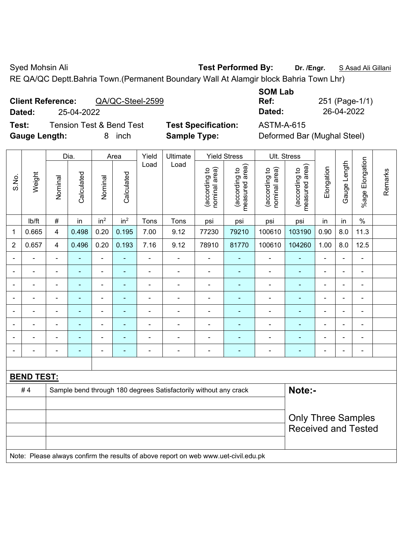Syed Mohsin Ali **Test Performed By:** Dr. /Engr. **SAsad Ali Gillani** Syed Mohsin Ali Gillani

RE QA/QC Deptt.Bahria Town.(Permanent Boundary Wall At Alamgir block Bahria Town Lhr)

| <b>Client Reference:</b> |            | QA/QC-Steel-2599 |
|--------------------------|------------|------------------|
| Dated:                   | 25-04-2022 |                  |

**Test:** Tension Test & Bend Test **Test Specification:** ASTM-A-615 **Gauge Length:** 8 inch **Sample Type:** Deformed Bar (Mughal Steel)

**SOM Lab Ref:** 251 (Page-1/1) **Dated:** 25-04-2022 **Dated:** 26-04-2022

|                              |                   |                                                                                     | Dia.           |                          | Area                     | Yield          | Ultimate                                                         |                                | <b>Yield Stress</b>             |                                | Ult. Stress                     |                |                |                           |         |
|------------------------------|-------------------|-------------------------------------------------------------------------------------|----------------|--------------------------|--------------------------|----------------|------------------------------------------------------------------|--------------------------------|---------------------------------|--------------------------------|---------------------------------|----------------|----------------|---------------------------|---------|
| S.No.                        | Weight            | Nominal                                                                             | Calculated     | Nominal                  | Calculated               | Load           | Load                                                             | nominal area)<br>(according to | (according to<br>measured area) | nominal area)<br>(according to | measured area)<br>(according to | Elongation     | Gauge Length   | %age Elongation           | Remarks |
|                              | Ib/ft             | $\#$                                                                                | in             | in <sup>2</sup>          | in <sup>2</sup>          | Tons           | Tons                                                             | psi                            | psi                             | psi                            | psi                             | in             | in             | $\%$                      |         |
| 1                            | 0.665             | $\overline{\mathbf{4}}$                                                             | 0.498          | 0.20                     | 0.195                    | 7.00           | 9.12                                                             | 77230                          | 79210                           | 100610                         | 103190                          | 0.90           | 8.0            | 11.3                      |         |
| $\overline{2}$               | 0.657             | $\overline{\mathbf{4}}$                                                             | 0.496          | 0.20                     | 0.193                    | 7.16           | 9.12                                                             | 78910                          | 81770                           | 100610                         | 104260                          | 1.00           | 8.0            | 12.5                      |         |
|                              |                   |                                                                                     |                | L.                       |                          | L.             | ÷,                                                               | $\overline{a}$                 |                                 | ä,                             |                                 | ÷              | $\blacksquare$ | $\overline{a}$            |         |
|                              |                   | $\blacksquare$                                                                      | $\blacksquare$ | $\overline{\phantom{a}}$ | $\overline{a}$           | $\blacksquare$ | $\overline{\phantom{a}}$                                         | $\blacksquare$                 | $\overline{\phantom{a}}$        | $\overline{a}$                 | ٠                               |                | $\blacksquare$ | $\overline{\phantom{a}}$  |         |
|                              | $\blacksquare$    | $\blacksquare$                                                                      | $\blacksquare$ | $\overline{\phantom{a}}$ | $\overline{\phantom{a}}$ | $\blacksquare$ | $\overline{a}$                                                   | $\blacksquare$                 | $\blacksquare$                  | $\overline{a}$                 | $\blacksquare$                  |                | ÷,             | $\overline{\phantom{a}}$  |         |
|                              |                   | $\blacksquare$                                                                      | $\blacksquare$ | $\overline{\phantom{a}}$ | ٠                        | ä,             | ÷.                                                               | $\blacksquare$                 | $\overline{\phantom{a}}$        | $\blacksquare$                 | $\blacksquare$                  | ä,             | $\blacksquare$ | $\blacksquare$            |         |
|                              | ä,                | $\blacksquare$                                                                      | $\blacksquare$ | $\blacksquare$           | $\blacksquare$           | ä,             | ÷,                                                               | $\overline{\phantom{a}}$       | $\blacksquare$                  | ä,                             | $\blacksquare$                  | $\blacksquare$ | $\blacksquare$ | $\blacksquare$            |         |
|                              |                   |                                                                                     | $\blacksquare$ | $\blacksquare$           | $\overline{a}$           | L.             | $\blacksquare$                                                   |                                | $\blacksquare$                  | $\blacksquare$                 | $\blacksquare$                  |                |                | $\blacksquare$            |         |
|                              |                   |                                                                                     |                | ÷                        |                          |                | $\blacksquare$                                                   |                                |                                 | Ē,                             |                                 |                |                | $\blacksquare$            |         |
| $\qquad \qquad \blacksquare$ |                   | $\blacksquare$                                                                      | ÷,             | -                        | ÷                        | $\blacksquare$ | ÷,                                                               | $\blacksquare$                 | $\overline{\phantom{a}}$        | $\blacksquare$                 | -                               |                | $\blacksquare$ | $\overline{\phantom{a}}$  |         |
|                              |                   |                                                                                     |                |                          |                          |                |                                                                  |                                |                                 |                                |                                 |                |                |                           |         |
|                              | <b>BEND TEST:</b> |                                                                                     |                |                          |                          |                |                                                                  |                                |                                 |                                |                                 |                |                |                           |         |
|                              | #4                |                                                                                     |                |                          |                          |                | Sample bend through 180 degrees Satisfactorily without any crack |                                |                                 |                                | Note:-                          |                |                |                           |         |
|                              |                   |                                                                                     |                |                          |                          |                |                                                                  |                                |                                 |                                |                                 |                |                |                           |         |
|                              |                   |                                                                                     |                |                          |                          |                |                                                                  |                                |                                 |                                |                                 |                |                | <b>Only Three Samples</b> |         |
|                              |                   |                                                                                     |                |                          |                          |                |                                                                  |                                |                                 |                                | <b>Received and Tested</b>      |                |                |                           |         |
|                              |                   |                                                                                     |                |                          |                          |                |                                                                  |                                |                                 |                                |                                 |                |                |                           |         |
|                              |                   | Note: Please always confirm the results of above report on web www.uet-civil.edu.pk |                |                          |                          |                |                                                                  |                                |                                 |                                |                                 |                |                |                           |         |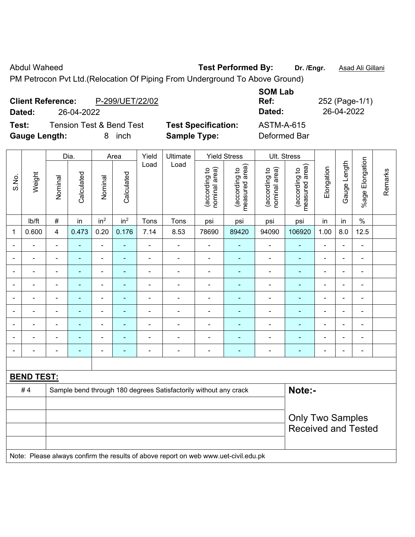Abdul Waheed **Test Performed By:** Dr. /Engr. **Asad Ali Gillani** 

PM Petrocon Pvt Ltd.(Relocation Of Piping From Underground To Above Ground)

| <b>Client Reference:</b><br>Dated: | 26-04-2022                          | P-299/UET/22/02 |                            | <b>SOM Lab</b><br>Ref:<br>Dated: | 252 (Page-1/1)<br>26-04-2022 |
|------------------------------------|-------------------------------------|-----------------|----------------------------|----------------------------------|------------------------------|
| Test:                              | <b>Tension Test &amp; Bend Test</b> |                 | <b>Test Specification:</b> | <b>ASTM-A-615</b>                |                              |
| <b>Gauge Length:</b>               |                                     | inch<br>8.      | <b>Sample Type:</b>        | Deformed Bar                     |                              |

|                          |                   |                                                                                     | Dia.           |                          | Area            | Yield                    | Ultimate                                                         |                                | <b>Yield Stress</b>             |                                | Ult. Stress                     |                          |                |                           |         |
|--------------------------|-------------------|-------------------------------------------------------------------------------------|----------------|--------------------------|-----------------|--------------------------|------------------------------------------------------------------|--------------------------------|---------------------------------|--------------------------------|---------------------------------|--------------------------|----------------|---------------------------|---------|
| S.No.                    | Weight            | Nominal                                                                             | Calculated     | Nominal                  | Calculated      | Load                     | Load                                                             | nominal area)<br>(according to | (according to<br>measured area) | nominal area)<br>(according to | (according to<br>measured area) | Elongation               | Gauge Length   | Elongation<br>$%$ age $ $ | Remarks |
|                          | lb/ft             | $\#$                                                                                | in             | in <sup>2</sup>          | in <sup>2</sup> | Tons                     | Tons                                                             | psi                            | psi                             | psi                            | psi                             | in                       | in             | $\%$                      |         |
| 1                        | 0.600             | 4                                                                                   | 0.473          | 0.20                     | 0.176           | 7.14                     | 8.53                                                             | 78690                          | 89420                           | 94090                          | 106920                          | 1.00                     | 8.0            | 12.5                      |         |
|                          | $\blacksquare$    | L,                                                                                  |                | $\blacksquare$           |                 | $\blacksquare$           | ä,                                                               | $\blacksquare$                 |                                 | ä,                             | L,                              | ÷                        |                | $\blacksquare$            |         |
| $\blacksquare$           | $\blacksquare$    | $\blacksquare$                                                                      | ÷,             | $\blacksquare$           | ٠               | $\blacksquare$           | ÷                                                                | $\blacksquare$                 | $\blacksquare$                  | ÷                              | $\blacksquare$                  | $\overline{\phantom{a}}$ | $\blacksquare$ | $\blacksquare$            |         |
| $\overline{\phantom{a}}$ | $\blacksquare$    | $\blacksquare$                                                                      | ۰              | $\blacksquare$           | ٠               | $\blacksquare$           | $\blacksquare$                                                   | $\blacksquare$                 | $\blacksquare$                  | $\overline{\phantom{a}}$       | $\blacksquare$                  | $\blacksquare$           | $\blacksquare$ | $\blacksquare$            |         |
|                          | $\frac{1}{2}$     | $\blacksquare$                                                                      | $\blacksquare$ | $\blacksquare$           | $\blacksquare$  | $\overline{\phantom{a}}$ | $\blacksquare$                                                   | $\blacksquare$                 | $\blacksquare$                  | $\blacksquare$                 | $\blacksquare$                  | $\blacksquare$           | ä,             | ÷,                        |         |
|                          | $\blacksquare$    | $\blacksquare$                                                                      | ÷,             | $\blacksquare$           | ٠               | $\blacksquare$           | $\overline{\phantom{0}}$                                         | $\blacksquare$                 | $\blacksquare$                  | $\blacksquare$                 | $\blacksquare$                  | $\overline{a}$           | $\blacksquare$ | $\blacksquare$            |         |
| ٠                        | $\blacksquare$    | ä,                                                                                  | ÷,             | $\blacksquare$           |                 | Ē,                       | ä,                                                               | $\blacksquare$                 |                                 | $\blacksquare$                 | ÷,                              | ÷                        |                | $\blacksquare$            |         |
|                          |                   |                                                                                     |                |                          |                 |                          |                                                                  |                                |                                 |                                |                                 |                          |                | $\blacksquare$            |         |
|                          |                   |                                                                                     |                | $\blacksquare$           |                 |                          |                                                                  | $\blacksquare$                 |                                 | ۰                              |                                 |                          |                |                           |         |
| $\blacksquare$           | $\blacksquare$    | $\blacksquare$                                                                      | ۰              | $\overline{\phantom{0}}$ | $\blacksquare$  | ٠                        | ٠                                                                | $\qquad \qquad \blacksquare$   | $\overline{\phantom{0}}$        | $\overline{\phantom{a}}$       | $\overline{\phantom{0}}$        | $\blacksquare$           | $\blacksquare$ | $\blacksquare$            |         |
|                          |                   |                                                                                     |                |                          |                 |                          |                                                                  |                                |                                 |                                |                                 |                          |                |                           |         |
|                          | <b>BEND TEST:</b> |                                                                                     |                |                          |                 |                          |                                                                  |                                |                                 |                                |                                 |                          |                |                           |         |
|                          | #4                |                                                                                     |                |                          |                 |                          | Sample bend through 180 degrees Satisfactorily without any crack |                                |                                 |                                | Note:-                          |                          |                |                           |         |
|                          |                   |                                                                                     |                |                          |                 |                          |                                                                  |                                |                                 |                                |                                 |                          |                |                           |         |
|                          |                   |                                                                                     |                |                          |                 |                          |                                                                  |                                |                                 |                                | <b>Only Two Samples</b>         |                          |                |                           |         |
|                          |                   |                                                                                     |                |                          |                 |                          |                                                                  |                                |                                 |                                | <b>Received and Tested</b>      |                          |                |                           |         |
|                          |                   |                                                                                     |                |                          |                 |                          |                                                                  |                                |                                 |                                |                                 |                          |                |                           |         |
|                          |                   | Note: Please always confirm the results of above report on web www.uet-civil.edu.pk |                |                          |                 |                          |                                                                  |                                |                                 |                                |                                 |                          |                |                           |         |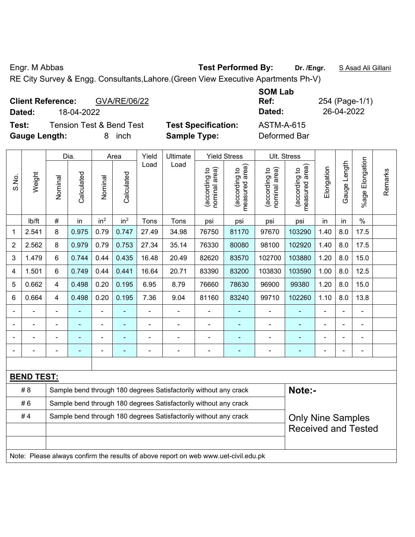Engr. M Abbas **Test Performed By: Dr. /Engr.** S Asad Ali Gillani

RE City Survey & Engg. Consultants,Lahore.(Green View Executive Apartments Ph-V)

| GVA/RE/06/22<br><b>Client Reference:</b><br>18-04-2022<br>Dated:             |                                                   | <b>SOM Lab</b><br>Ref:<br>Dated: | 254 (Page-1/1)<br>26-04-2022 |
|------------------------------------------------------------------------------|---------------------------------------------------|----------------------------------|------------------------------|
| <b>Tension Test &amp; Bend Test</b><br>Test:<br><b>Gauge Length:</b><br>inch | <b>Test Specification:</b><br><b>Sample Type:</b> | ASTM-A-615<br>Deformed Bar       |                              |

|                |                   |                                                                  | Dia.       |                 | Area            | Yield | Ultimate                                                                            |                                | <b>Yield Stress</b>             |                                | Ult. Stress                     |                |              |                 |         |
|----------------|-------------------|------------------------------------------------------------------|------------|-----------------|-----------------|-------|-------------------------------------------------------------------------------------|--------------------------------|---------------------------------|--------------------------------|---------------------------------|----------------|--------------|-----------------|---------|
| S.No.          | Weight            | Nominal                                                          | Calculated | Nominal         | Calculated      | Load  | Load                                                                                | nominal area)<br>(according to | (according to<br>measured area) | nominal area)<br>(according to | measured area)<br>(according to | Elongation     | Gauge Length | %age Elongation | Remarks |
|                | lb/ft             | #                                                                | in         | in <sup>2</sup> | in <sup>2</sup> | Tons  | Tons                                                                                | psi                            | psi                             | psi                            | psi                             | in             | in           | $\%$            |         |
| 1              | 2.541             | 8                                                                | 0.975      | 0.79            | 0.747           | 27.49 | 34.98                                                                               | 76750                          | 81170                           | 97670                          | 103290                          | 1.40           | 8.0          | 17.5            |         |
| $\overline{2}$ | 2.562             | 8                                                                | 0.979      | 0.79            | 0.753           | 27.34 | 35.14                                                                               | 76330                          | 80080                           | 98100                          | 102920                          | 1.40           | 8.0          | 17.5            |         |
| 3              | 1.479             | $6\phantom{1}$                                                   | 0.744      | 0.44            | 0.435           | 16.48 | 20.49                                                                               | 82620                          | 83570                           | 102700                         | 103880                          | 1.20           | 8.0          | 15.0            |         |
| 4              | 1.501             | 6                                                                | 0.749      | 0.44            | 0.441           | 16.64 | 20.71                                                                               | 83390                          | 83200                           | 103830                         | 103590                          | 1.00           | 8.0          | 12.5            |         |
| 5              | 0.662             | $\overline{\mathbf{4}}$                                          | 0.498      | 0.20            | 0.195           | 6.95  | 8.79                                                                                | 76660                          | 78630                           | 96900                          | 99380                           | 1.20           | 8.0          | 15.0            |         |
| 6              | 0.664             | $\overline{4}$                                                   | 0.498      | 0.20            | 0.195           | 7.36  | 9.04                                                                                | 81160                          | 83240                           | 99710                          | 102260                          | 1.10           | 8.0          | 13.8            |         |
|                |                   |                                                                  |            |                 |                 |       | $\blacksquare$                                                                      | $\blacksquare$                 |                                 |                                |                                 |                |              |                 |         |
|                |                   |                                                                  |            | ÷               |                 |       | $\blacksquare$                                                                      | ä,                             |                                 |                                |                                 |                |              |                 |         |
|                |                   |                                                                  | ۰          | ÷               |                 |       |                                                                                     |                                |                                 |                                |                                 |                |              | $\blacksquare$  |         |
|                |                   |                                                                  | ۰          | ۰               |                 |       | $\overline{a}$                                                                      | -                              | ۰                               | $\blacksquare$                 | $\overline{\phantom{a}}$        | $\blacksquare$ |              | $\blacksquare$  |         |
|                |                   |                                                                  |            |                 |                 |       |                                                                                     |                                |                                 |                                |                                 |                |              |                 |         |
|                | <b>BEND TEST:</b> |                                                                  |            |                 |                 |       |                                                                                     |                                |                                 |                                |                                 |                |              |                 |         |
|                | #8                |                                                                  |            |                 |                 |       | Sample bend through 180 degrees Satisfactorily without any crack                    |                                |                                 |                                | Note:-                          |                |              |                 |         |
|                | #6                | Sample bend through 180 degrees Satisfactorily without any crack |            |                 |                 |       |                                                                                     |                                |                                 |                                |                                 |                |              |                 |         |
|                | #4                |                                                                  |            |                 |                 |       | Sample bend through 180 degrees Satisfactorily without any crack                    |                                |                                 |                                | <b>Only Nine Samples</b>        |                |              |                 |         |
|                |                   | <b>Received and Tested</b>                                       |            |                 |                 |       |                                                                                     |                                |                                 |                                |                                 |                |              |                 |         |
|                |                   |                                                                  |            |                 |                 |       |                                                                                     |                                |                                 |                                |                                 |                |              |                 |         |
|                |                   |                                                                  |            |                 |                 |       | Note: Please always confirm the results of above report on web www.uet-civil.edu.pk |                                |                                 |                                |                                 |                |              |                 |         |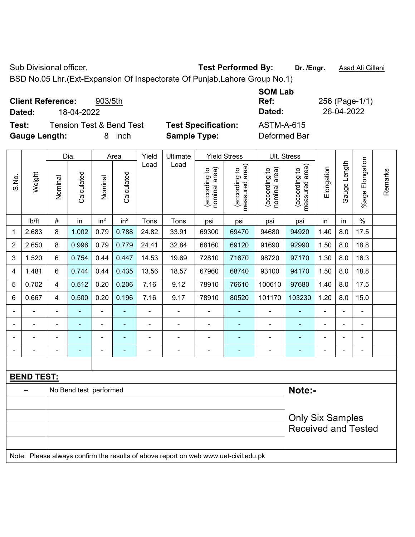Sub Divisional officer, **Test Performed By:** Dr. /Engr. **Asad Ali Gillani** Associated By: Dr. /Engr. **Asad Ali Gillani** 

BSD No.05 Lhr.(Ext-Expansion Of Inspectorate Of Punjab,Lahore Group No.1)

| <b>Client Reference:</b><br>903/5th          | <b>SOM Lab</b><br>Ref:                          | 256 (Page-1/1) |
|----------------------------------------------|-------------------------------------------------|----------------|
| 18-04-2022<br>Dated:                         | Dated:                                          | 26-04-2022     |
| <b>Tension Test &amp; Bend Test</b><br>Test: | <b>Test Specification:</b><br><b>ASTM-A-615</b> |                |
| <b>Gauge Length:</b><br>inch<br>8.           | Deformed Bar<br><b>Sample Type:</b>             |                |

|                |                   |                            | Dia.                   |                 | Area            | Yield          | Ultimate                                                                            |                                | <b>Yield Stress</b>             |                                | Ult. Stress                     |            |                |                 |         |
|----------------|-------------------|----------------------------|------------------------|-----------------|-----------------|----------------|-------------------------------------------------------------------------------------|--------------------------------|---------------------------------|--------------------------------|---------------------------------|------------|----------------|-----------------|---------|
| S.No.          | Weight            | Nominal                    | Calculated             | Nominal         | Calculated      | Load           | Load                                                                                | nominal area)<br>(according to | (according to<br>measured area) | nominal area)<br>(according to | measured area)<br>(according to | Elongation | Gauge Length   | %age Elongation | Remarks |
|                | Ib/ft             | $\#$                       | in                     | in <sup>2</sup> | in <sup>2</sup> | Tons           | Tons                                                                                | psi                            | psi                             | psi                            | psi                             | in         | in             | $\%$            |         |
| 1              | 2.683             | 8                          | 1.002                  | 0.79            | 0.788           | 24.82          | 33.91                                                                               | 69300                          | 69470                           | 94680                          | 94920                           | 1.40       | 8.0            | 17.5            |         |
| $\overline{2}$ | 2.650             | 8                          | 0.996                  | 0.79            | 0.779           | 24.41          | 32.84                                                                               | 68160                          | 69120                           | 91690                          | 92990                           | 1.50       | 8.0            | 18.8            |         |
| 3              | 1.520             | 6                          | 0.754                  | 0.44            | 0.447           | 14.53          | 19.69                                                                               | 72810                          | 71670                           | 98720                          | 97170                           | 1.30       | 8.0            | 16.3            |         |
| 4              | 1.481             | $6\phantom{1}$             | 0.744                  | 0.44            | 0.435           | 13.56          | 18.57                                                                               | 67960                          | 68740                           | 93100                          | 94170                           | 1.50       | 8.0            | 18.8            |         |
| 5              | 0.702             | $\overline{\mathbf{4}}$    | 0.512                  | 0.20            | 0.206           | 7.16           | 9.12                                                                                | 78910                          | 76610                           | 100610                         | 97680                           | 1.40       | 8.0            | 17.5            |         |
| 6              | 0.667             | $\overline{4}$             | 0.500                  | 0.20            | 0.196           | 7.16           | 9.17                                                                                | 78910                          | 80520                           | 101170                         | 103230                          | 1.20       | 8.0            | 15.0            |         |
|                |                   |                            | ۰                      | ÷               |                 |                | $\blacksquare$                                                                      | $\blacksquare$                 |                                 |                                |                                 |            |                |                 |         |
|                |                   |                            | ۰                      | ÷               |                 |                | $\blacksquare$                                                                      | $\blacksquare$                 |                                 |                                |                                 |            |                |                 |         |
|                |                   |                            | ۰                      | ÷               |                 |                | $\blacksquare$                                                                      |                                |                                 |                                |                                 |            |                | $\blacksquare$  |         |
| $\blacksquare$ | ÷                 |                            | ۰                      | ÷               |                 | $\blacksquare$ | $\overline{a}$                                                                      |                                | ۰                               | $\blacksquare$                 | $\blacksquare$                  | Ē,         | $\blacksquare$ | $\blacksquare$  |         |
|                |                   |                            |                        |                 |                 |                |                                                                                     |                                |                                 |                                |                                 |            |                |                 |         |
|                | <b>BEND TEST:</b> |                            |                        |                 |                 |                |                                                                                     |                                |                                 |                                |                                 |            |                |                 |         |
|                |                   |                            | No Bend test performed |                 |                 |                |                                                                                     |                                |                                 |                                | Note:-                          |            |                |                 |         |
|                |                   |                            |                        |                 |                 |                |                                                                                     |                                |                                 |                                |                                 |            |                |                 |         |
|                |                   |                            |                        |                 |                 |                |                                                                                     |                                |                                 |                                | <b>Only Six Samples</b>         |            |                |                 |         |
|                |                   | <b>Received and Tested</b> |                        |                 |                 |                |                                                                                     |                                |                                 |                                |                                 |            |                |                 |         |
|                |                   |                            |                        |                 |                 |                | Note: Please always confirm the results of above report on web www.uet-civil.edu.pk |                                |                                 |                                |                                 |            |                |                 |         |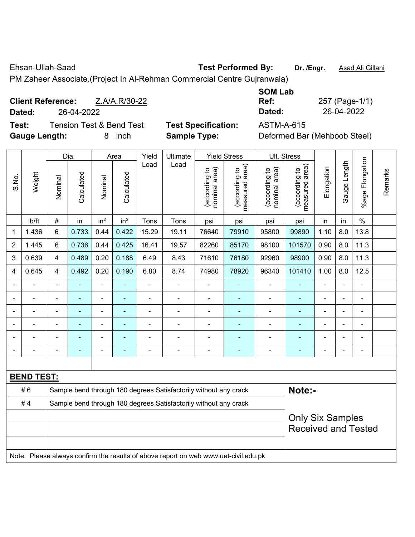Ehsan-Ullah-Saad **Test Performed By: Dr. /Engr.** Asad Ali Gillani

PM Zaheer Associate.(Project In Al-Rehman Commercial Centre Gujranwala)

|        | <b>Client Reference:</b> | Z.A/A.R/30-22                       |
|--------|--------------------------|-------------------------------------|
| Dated: | 26-04-2022               |                                     |
| Test:  |                          | <b>Tension Test &amp; Bend Test</b> |

**Gauge Length:** 8 inch **Sample Type:** Deformed Bar (Mehboob Steel)

**SOM Lab Ref:** 257 (Page-1/1) **Dated:** 26-04-2022 **Dated:** 26-04-2022

**Test Specification:** ASTM-A-615

|                |                          |                                                                  | Dia.       |                 | Area            | Yield          | Ultimate                                                                            |                                | <b>Yield Stress</b>             |                                | Ult. Stress                     |                |                |                       |         |
|----------------|--------------------------|------------------------------------------------------------------|------------|-----------------|-----------------|----------------|-------------------------------------------------------------------------------------|--------------------------------|---------------------------------|--------------------------------|---------------------------------|----------------|----------------|-----------------------|---------|
| S.No.          | Weight                   | Nominal                                                          | Calculated | Nominal         | Calculated      | Load           | Load                                                                                | (according to<br>nominal area) | (according to<br>measured area) | (according to<br>nominal area) | (according to<br>measured area) | Elongation     | Gauge Length   | Elongation<br>$%$ age | Remarks |
|                | lb/ft                    | #                                                                | in         | in <sup>2</sup> | in <sup>2</sup> | Tons           | Tons                                                                                | psi                            | psi                             | psi                            | psi                             | in             | in             | $\frac{0}{0}$         |         |
| 1              | 1.436                    | 6                                                                | 0.733      | 0.44            | 0.422           | 15.29          | 19.11                                                                               | 76640                          | 79910                           | 95800                          | 99890                           | 1.10           | 8.0            | 13.8                  |         |
| $\overline{2}$ | 1.445                    | 6                                                                | 0.736      | 0.44            | 0.425           | 16.41          | 19.57                                                                               | 82260                          | 85170                           | 98100                          | 101570                          | 0.90           | 8.0            | 11.3                  |         |
| 3              | 0.639                    | $\overline{4}$                                                   | 0.489      | 0.20            | 0.188           | 6.49           | 8.43                                                                                | 71610                          | 76180                           | 92960                          | 98900                           | 0.90           | 8.0            | 11.3                  |         |
| 4              | 0.645                    | $\overline{\mathbf{4}}$                                          | 0.492      | 0.20            | 0.190           | 6.80           | 8.74                                                                                | 74980                          | 78920                           | 96340                          | 101410                          | 1.00           | 8.0            | 12.5                  |         |
|                | $\overline{\phantom{a}}$ | $\blacksquare$                                                   | ÷,         | $\blacksquare$  | L.              | $\blacksquare$ | $\blacksquare$                                                                      | $\blacksquare$                 | $\blacksquare$                  | $\qquad \qquad \blacksquare$   | $\blacksquare$                  | ä,             | $\blacksquare$ | ÷,                    |         |
|                | $\blacksquare$           | $\blacksquare$                                                   | ÷,         | ÷,              | ÷,              | $\blacksquare$ | ÷,                                                                                  | ÷,                             | ÷,                              | $\qquad \qquad \blacksquare$   | ä,                              | $\blacksquare$ |                | $\blacksquare$        |         |
|                | $\blacksquare$           | $\blacksquare$                                                   | ÷,         | $\blacksquare$  | ä,              | $\blacksquare$ | $\blacksquare$                                                                      | $\blacksquare$                 | $\blacksquare$                  | $\qquad \qquad \blacksquare$   | ÷,                              | $\blacksquare$ |                | $\blacksquare$        |         |
|                |                          |                                                                  |            |                 | $\blacksquare$  |                |                                                                                     |                                |                                 |                                | $\blacksquare$                  |                |                | ÷                     |         |
|                |                          | $\blacksquare$                                                   |            |                 |                 |                |                                                                                     | $\blacksquare$                 | ÷                               | ۰                              | ٠                               |                |                | ÷                     |         |
|                |                          | $\overline{\phantom{0}}$                                         |            | ÷               | ۰               | $\blacksquare$ | $\blacksquare$                                                                      | ÷                              | $\blacksquare$                  | $\blacksquare$                 | ٠                               | $\blacksquare$ |                | $\frac{1}{2}$         |         |
|                |                          |                                                                  |            |                 |                 |                |                                                                                     |                                |                                 |                                |                                 |                |                |                       |         |
|                | <b>BEND TEST:</b>        |                                                                  |            |                 |                 |                |                                                                                     |                                |                                 |                                |                                 |                |                |                       |         |
|                | #6                       |                                                                  |            |                 |                 |                | Sample bend through 180 degrees Satisfactorily without any crack                    |                                |                                 |                                | Note:-                          |                |                |                       |         |
|                | #4                       | Sample bend through 180 degrees Satisfactorily without any crack |            |                 |                 |                |                                                                                     |                                |                                 |                                |                                 |                |                |                       |         |
|                |                          | <b>Only Six Samples</b><br><b>Received and Tested</b>            |            |                 |                 |                |                                                                                     |                                |                                 |                                |                                 |                |                |                       |         |
|                |                          |                                                                  |            |                 |                 |                | Note: Please always confirm the results of above report on web www.uet-civil.edu.pk |                                |                                 |                                |                                 |                |                |                       |         |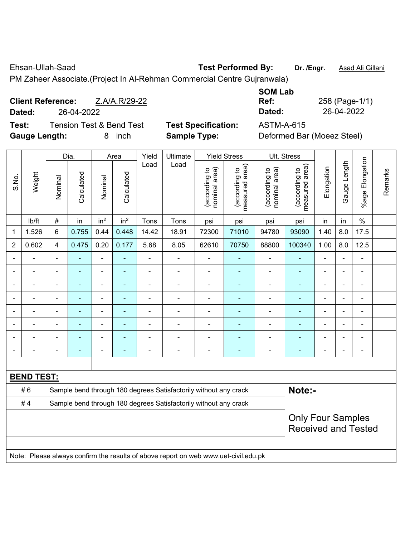Ehsan-Ullah-Saad **Test Performed By: Dr. /Engr.** Asad Ali Gillani

PM Zaheer Associate.(Project In Al-Rehman Commercial Centre Gujranwala)

|        | <b>Client Reference:</b><br>Z.A/A.R/29-22 |                            | Ref:       | 258 (Page-1/ |
|--------|-------------------------------------------|----------------------------|------------|--------------|
| Dated: | 26-04-2022                                |                            | Dated:     | 26-04-2022   |
| Test:  | Tension Test & Bend Test                  | <b>Test Specification:</b> | ASTM-A-615 |              |

**Test Specification:** ASTM-A-615 Gauge Length: **8** inch **Sample Type:** Defining Bar (Does Bar (Does Steel)

| 258 (P |
|--------|
| 26-04  |
|        |

'age-1/1)

| Deformed Bar (Moeez Steel) |  |  |
|----------------------------|--|--|
|----------------------------|--|--|

|                |                   |                                                                  | Dia.           |                 | Area            | Yield          | Ultimate                                                                            |                                | <b>Yield Stress</b>             |                                | Ult. Stress                                 |                |                |                 |         |
|----------------|-------------------|------------------------------------------------------------------|----------------|-----------------|-----------------|----------------|-------------------------------------------------------------------------------------|--------------------------------|---------------------------------|--------------------------------|---------------------------------------------|----------------|----------------|-----------------|---------|
| S.No.          | Weight            | Nominal                                                          | Calculated     | Nominal         | Calculated      | Load           | Load                                                                                | nominal area)<br>(according to | (according to<br>measured area) | nominal area)<br>(according to | (according to<br>neasured area)<br>measured | Elongation     | Gauge Length   | %age Elongation | Remarks |
|                | lb/ft             | $\#$                                                             | in             | in <sup>2</sup> | in <sup>2</sup> | Tons           | Tons                                                                                | psi                            | psi                             | psi                            | psi                                         | in             | in             | $\%$            |         |
| 1              | 1.526             | 6                                                                | 0.755          | 0.44            | 0.448           | 14.42          | 18.91                                                                               | 72300                          | 71010                           | 94780                          | 93090                                       | 1.40           | 8.0            | 17.5            |         |
| $\overline{2}$ | 0.602             | 4                                                                | 0.475          | 0.20            | 0.177           | 5.68           | 8.05                                                                                | 62610                          | 70750                           | 88800                          | 100340                                      | 1.00           | 8.0            | 12.5            |         |
| Ē,             | $\blacksquare$    | $\blacksquare$                                                   | ÷,             | $\blacksquare$  |                 | $\blacksquare$ | $\blacksquare$                                                                      | $\blacksquare$                 |                                 | $\overline{\phantom{a}}$       | $\blacksquare$                              | ä,             | ä,             | $\blacksquare$  |         |
|                | $\overline{a}$    | $\blacksquare$                                                   | ۰              | $\blacksquare$  | ٠               | $\blacksquare$ | $\blacksquare$                                                                      | $\blacksquare$                 | ٠                               | $\overline{\phantom{a}}$       | $\blacksquare$                              | ۰              | $\blacksquare$ | $\blacksquare$  |         |
|                | $\blacksquare$    | L,                                                               | $\blacksquare$ | $\blacksquare$  | $\blacksquare$  | $\blacksquare$ | ä,                                                                                  | $\blacksquare$                 | ä,                              | ä,                             | $\blacksquare$                              | ä,             | L,             | $\blacksquare$  |         |
|                | $\blacksquare$    | $\blacksquare$                                                   | ÷,             | $\blacksquare$  | ٠               | $\blacksquare$ | ÷                                                                                   | $\blacksquare$                 | $\blacksquare$                  | $\overline{\phantom{a}}$       | $\blacksquare$                              | $\overline{a}$ |                | $\blacksquare$  |         |
|                |                   |                                                                  | $\blacksquare$ | $\blacksquare$  |                 | ٠              | Ē,                                                                                  | $\blacksquare$                 |                                 | ä,                             | $\blacksquare$                              | $\overline{a}$ |                | $\blacksquare$  |         |
|                |                   |                                                                  |                |                 |                 |                |                                                                                     |                                |                                 |                                |                                             |                |                | $\blacksquare$  |         |
|                |                   |                                                                  |                | $\blacksquare$  |                 |                |                                                                                     | ٠                              |                                 |                                |                                             |                |                | $\blacksquare$  |         |
| $\blacksquare$ | $\blacksquare$    |                                                                  |                | $\blacksquare$  |                 | Ē,             | $\overline{\phantom{0}}$                                                            | $\blacksquare$                 | ٠                               | $\overline{\phantom{a}}$       | $\overline{\phantom{0}}$                    | ÷              | $\blacksquare$ | $\blacksquare$  |         |
|                |                   |                                                                  |                |                 |                 |                |                                                                                     |                                |                                 |                                |                                             |                |                |                 |         |
|                | <b>BEND TEST:</b> |                                                                  |                |                 |                 |                |                                                                                     |                                |                                 |                                |                                             |                |                |                 |         |
|                | #6                |                                                                  |                |                 |                 |                | Sample bend through 180 degrees Satisfactorily without any crack                    |                                |                                 |                                | Note:-                                      |                |                |                 |         |
|                | #4                | Sample bend through 180 degrees Satisfactorily without any crack |                |                 |                 |                |                                                                                     |                                |                                 |                                |                                             |                |                |                 |         |
|                |                   | <b>Only Four Samples</b><br><b>Received and Tested</b>           |                |                 |                 |                |                                                                                     |                                |                                 |                                |                                             |                |                |                 |         |
|                |                   |                                                                  |                |                 |                 |                | Note: Please always confirm the results of above report on web www.uet-civil.edu.pk |                                |                                 |                                |                                             |                |                |                 |         |
|                |                   |                                                                  |                |                 |                 |                |                                                                                     |                                |                                 |                                |                                             |                |                |                 |         |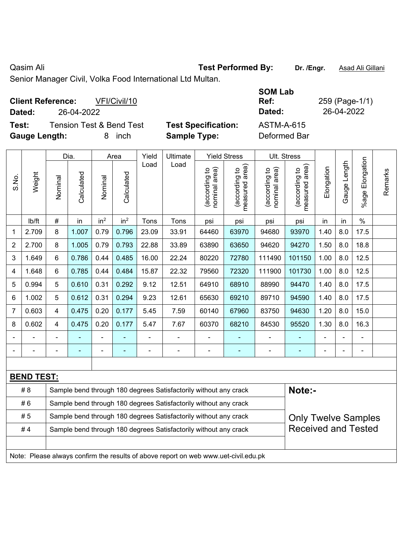## Qasim Ali **Casim Ali Casim Ali Casim Ali Casim Ali Cillani Test Performed By:** Dr. /Engr. **Asad Ali Gillani**

Senior Manager Civil, Volka Food International Ltd Multan.

| <b>Client Reference:</b><br>VFI/Civil/10<br>26-04-2022<br>Dated:                   |                                                   | <b>SOM Lab</b><br>259 (Page-1/1)<br>Ref:<br>26-04-2022<br>Dated: |
|------------------------------------------------------------------------------------|---------------------------------------------------|------------------------------------------------------------------|
| <b>Tension Test &amp; Bend Test</b><br>Test:<br><b>Gauge Length:</b><br>inch<br>8. | <b>Test Specification:</b><br><b>Sample Type:</b> | <b>ASTM-A-615</b><br>Deformed Bar                                |

|                |                   |                                                                                                | Dia.       |                 | Area            | Yield | Ultimate                                                                            |                                | <b>Yield Stress</b>             |                                | Ult. Stress                        |            |              |                       |         |
|----------------|-------------------|------------------------------------------------------------------------------------------------|------------|-----------------|-----------------|-------|-------------------------------------------------------------------------------------|--------------------------------|---------------------------------|--------------------------------|------------------------------------|------------|--------------|-----------------------|---------|
| S.No.          | Weight            | Nominal                                                                                        | Calculated | Nominal         | Calculated      | Load  | Load                                                                                | nominal area)<br>(according to | measured area)<br>(according to | nominal area)<br>(according to | area)<br>(according to<br>measured | Elongation | Gauge Length | Elongation<br>$%$ age | Remarks |
|                | Ib/ft             | #                                                                                              | in         | in <sup>2</sup> | in <sup>2</sup> | Tons  | Tons                                                                                | psi                            | psi                             | psi                            | psi                                | in         | in           | $\%$                  |         |
| 1              | 2.709             | 8                                                                                              | 1.007      | 0.79            | 0.796           | 23.09 | 33.91                                                                               | 64460                          | 63970                           | 94680                          | 93970                              | 1.40       | 8.0          | 17.5                  |         |
| $\overline{2}$ | 2.700             | 8                                                                                              | 1.005      | 0.79            | 0.793           | 22.88 | 33.89                                                                               | 63890                          | 63650                           | 94620                          | 94270                              | 1.50       | 8.0          | 18.8                  |         |
| 3              | 1.649             | 6                                                                                              | 0.786      | 0.44            | 0.485           | 16.00 | 22.24                                                                               | 80220                          | 72780                           | 111490                         | 101150                             | 1.00       | 8.0          | 12.5                  |         |
| 4              | 1.648             | 6                                                                                              | 0.785      | 0.44            | 0.484           | 15.87 | 22.32                                                                               | 79560                          | 72320                           | 111900                         | 101730                             | 1.00       | 8.0          | 12.5                  |         |
| 5              | 0.994             | 5                                                                                              | 0.610      | 0.31            | 0.292           | 9.12  | 12.51                                                                               | 64910                          | 68910                           | 88990                          | 94470                              | 1.40       | 8.0          | 17.5                  |         |
| 6              | 1.002             | 5                                                                                              | 0.612      | 0.31            | 0.294           | 9.23  | 12.61                                                                               | 65630                          | 69210                           | 89710                          | 94590                              | 1.40       | 8.0          | 17.5                  |         |
| $\overline{7}$ | 0.603             | 4                                                                                              | 0.475      | 0.20            | 0.177           | 5.45  | 7.59                                                                                | 60140                          | 67960                           | 83750                          | 94630                              | 1.20       | 8.0          | 15.0                  |         |
| 8              | 0.602             | 4                                                                                              | 0.475      | 0.20            | 0.177           | 5.47  | 7.67                                                                                | 60370                          | 68210                           | 84530                          | 95520                              | 1.30       | 8.0          | 16.3                  |         |
|                |                   |                                                                                                |            |                 |                 |       |                                                                                     |                                |                                 |                                |                                    |            |              |                       |         |
|                |                   |                                                                                                |            | $\blacksquare$  |                 |       | ä,                                                                                  | $\blacksquare$                 | $\blacksquare$                  |                                |                                    |            |              | $\blacksquare$        |         |
|                |                   |                                                                                                |            |                 |                 |       |                                                                                     |                                |                                 |                                |                                    |            |              |                       |         |
|                | <b>BEND TEST:</b> |                                                                                                |            |                 |                 |       |                                                                                     |                                |                                 |                                |                                    |            |              |                       |         |
|                | # 8               |                                                                                                |            |                 |                 |       | Sample bend through 180 degrees Satisfactorily without any crack                    |                                |                                 |                                | Note:-                             |            |              |                       |         |
|                | #6                | Sample bend through 180 degrees Satisfactorily without any crack                               |            |                 |                 |       |                                                                                     |                                |                                 |                                |                                    |            |              |                       |         |
|                | #5                | Sample bend through 180 degrees Satisfactorily without any crack<br><b>Only Twelve Samples</b> |            |                 |                 |       |                                                                                     |                                |                                 |                                |                                    |            |              |                       |         |
|                | #4                | <b>Received and Tested</b><br>Sample bend through 180 degrees Satisfactorily without any crack |            |                 |                 |       |                                                                                     |                                |                                 |                                |                                    |            |              |                       |         |
|                |                   |                                                                                                |            |                 |                 |       |                                                                                     |                                |                                 |                                |                                    |            |              |                       |         |
|                |                   |                                                                                                |            |                 |                 |       | Note: Please always confirm the results of above report on web www.uet-civil.edu.pk |                                |                                 |                                |                                    |            |              |                       |         |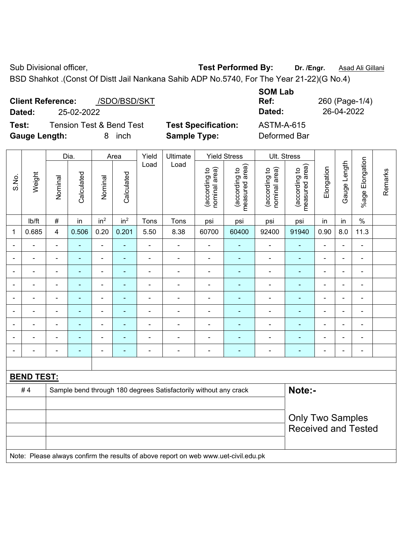BSD Shahkot .(Const Of Distt Jail Nankana Sahib ADP No.5740, For The Year 21-22)(G No.4)

|        | <b>Client Reference:</b> | /SDO/BSD/SKT                        |     |
|--------|--------------------------|-------------------------------------|-----|
| Dated: | 25-02-2022               |                                     |     |
| Test:  |                          | <b>Tension Test &amp; Bend Test</b> | Tes |

**Gauge Length:** 8 inch **Sample Type:** Deformed Bar

**SOM Lab Ref:** 260 (Page-1/4) **Dated:** 25-02-2022 **Dated:** 26-04-2022 **Text Specification:** ASTM-A-615

|                |                          |                         | Dia.           |                          | Area            | Yield          | Ultimate                                                                            |                                | <b>Yield Stress</b>             |                                | Ult. Stress                     |                |                |                          |         |
|----------------|--------------------------|-------------------------|----------------|--------------------------|-----------------|----------------|-------------------------------------------------------------------------------------|--------------------------------|---------------------------------|--------------------------------|---------------------------------|----------------|----------------|--------------------------|---------|
| S.No.          | Weight                   | Nominal                 | Calculated     | Nominal                  | Calculated      | Load           | Load                                                                                | nominal area)<br>(according to | measured area)<br>(according to | (according to<br>nominal area) | (according to<br>measured area) | Elongation     | Gauge Length   | Elongation<br>$%$ age    | Remarks |
|                | Ib/ft                    | $\#$                    | in             | in <sup>2</sup>          | in <sup>2</sup> | Tons           | Tons                                                                                | psi                            | psi                             | psi                            | psi                             | in             | in             | $\%$                     |         |
| 1              | 0.685                    | $\overline{\mathbf{4}}$ | 0.506          | 0.20                     | 0.201           | 5.50           | 8.38                                                                                | 60700                          | 60400                           | 92400                          | 91940                           | 0.90           | 8.0            | 11.3                     |         |
|                | $\blacksquare$           | $\blacksquare$          | $\blacksquare$ | $\blacksquare$           | $\blacksquare$  | $\blacksquare$ | ÷,                                                                                  | ÷,                             | $\blacksquare$                  | $\blacksquare$                 | $\blacksquare$                  | ä,             | $\blacksquare$ | $\blacksquare$           |         |
|                | $\blacksquare$           | $\blacksquare$          | $\blacksquare$ | ÷                        | $\blacksquare$  | $\blacksquare$ | $\blacksquare$                                                                      | $\overline{\phantom{a}}$       | ÷                               | ۰                              | $\blacksquare$                  | $\blacksquare$ |                | ÷,                       |         |
|                |                          | L                       | $\blacksquare$ | $\blacksquare$           | ä,              | $\blacksquare$ | $\blacksquare$                                                                      | $\blacksquare$                 | ٠                               | $\blacksquare$                 | $\blacksquare$                  | $\blacksquare$ |                | $\blacksquare$           |         |
|                |                          |                         |                |                          |                 | $\blacksquare$ | $\blacksquare$                                                                      | $\blacksquare$                 | ä,                              | $\blacksquare$                 | $\blacksquare$                  |                |                | $\blacksquare$           |         |
| $\blacksquare$ | $\blacksquare$           | $\blacksquare$          | $\blacksquare$ | $\blacksquare$           | ÷,              | $\blacksquare$ | $\blacksquare$                                                                      | $\blacksquare$                 | $\blacksquare$                  | $\blacksquare$                 | ÷,                              | $\blacksquare$ | $\blacksquare$ | $\overline{\phantom{a}}$ |         |
| $\blacksquare$ | $\overline{\phantom{0}}$ | $\blacksquare$          | $\blacksquare$ | $\blacksquare$           | ٠               | $\blacksquare$ | $\overline{\phantom{0}}$                                                            | $\blacksquare$                 | $\blacksquare$                  | $\blacksquare$                 | ٠                               | $\blacksquare$ | $\blacksquare$ | $\blacksquare$           |         |
|                | $\blacksquare$           | $\blacksquare$          | $\blacksquare$ | $\blacksquare$           | $\blacksquare$  | $\blacksquare$ | ÷,                                                                                  | $\blacksquare$                 | $\blacksquare$                  | $\blacksquare$                 | ÷,                              | $\blacksquare$ |                | $\blacksquare$           |         |
|                |                          |                         | $\blacksquare$ |                          |                 | $\blacksquare$ | $\blacksquare$                                                                      | $\overline{\phantom{a}}$       | $\blacksquare$                  | $\blacksquare$                 | $\blacksquare$                  | $\blacksquare$ |                | $\blacksquare$           |         |
|                |                          | $\blacksquare$          |                | $\overline{\phantom{0}}$ | Ē.              | ٠              | $\blacksquare$                                                                      | Ē,                             | ÷                               | ۰                              | $\blacksquare$                  |                |                | $\blacksquare$           |         |
|                |                          |                         |                |                          |                 |                |                                                                                     |                                |                                 |                                |                                 |                |                |                          |         |
|                | <b>BEND TEST:</b>        |                         |                |                          |                 |                |                                                                                     |                                |                                 |                                |                                 |                |                |                          |         |
|                | #4                       |                         |                |                          |                 |                | Sample bend through 180 degrees Satisfactorily without any crack                    |                                |                                 |                                | Note:-                          |                |                |                          |         |
|                |                          |                         |                |                          |                 |                |                                                                                     |                                |                                 |                                |                                 |                |                |                          |         |
|                |                          |                         |                |                          |                 |                |                                                                                     |                                |                                 |                                | <b>Only Two Samples</b>         |                |                |                          |         |
|                |                          |                         |                |                          |                 |                |                                                                                     |                                |                                 |                                | <b>Received and Tested</b>      |                |                |                          |         |
|                |                          |                         |                |                          |                 |                |                                                                                     |                                |                                 |                                |                                 |                |                |                          |         |
|                |                          |                         |                |                          |                 |                | Note: Please always confirm the results of above report on web www.uet-civil.edu.pk |                                |                                 |                                |                                 |                |                |                          |         |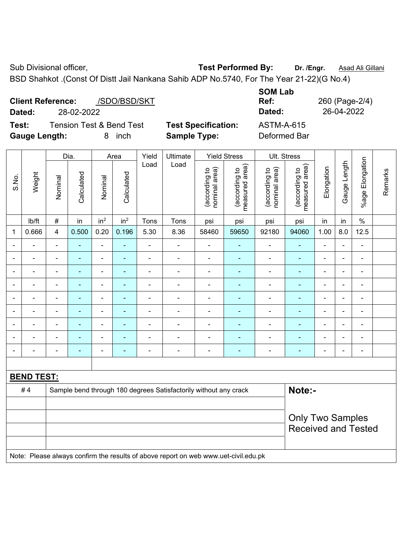BSD Shahkot .(Const Of Distt Jail Nankana Sahib ADP No.5740, For The Year 21-22)(G No.4)

|        | <b>Client Reference:</b> | /SDO/BSD/SKT                        |    |
|--------|--------------------------|-------------------------------------|----|
| Dated: | 28-02-2022               |                                     |    |
| Test:  |                          | <b>Tension Test &amp; Bend Test</b> | Tε |

**Test Specification:** ASTM-A-615 **Gauge Length:** 8 inch **Sample Type:** Deformed Bar

**SOM Lab Ref:** 260 (Page-2/4) **Dated:** 28-02-2022 **Dated:** 26-04-2022

|       |                   |                | Dia.           |                          | Area            | Yield          | Ultimate                                                                            |                                | <b>Yield Stress</b>             |                                | Ult. Stress                                           |                          |                |                       |         |
|-------|-------------------|----------------|----------------|--------------------------|-----------------|----------------|-------------------------------------------------------------------------------------|--------------------------------|---------------------------------|--------------------------------|-------------------------------------------------------|--------------------------|----------------|-----------------------|---------|
| S.No. | Weight            | Nominal        | Calculated     | Nominal                  | Calculated      | Load           | Load                                                                                | nominal area)<br>(according to | (according to<br>measured area) | (according to<br>nominal area) | (according to<br>measured area)                       | Elongation               | Gauge Length   | Elongation<br>$%$ age | Remarks |
|       | lb/ft             | #              | in             | in <sup>2</sup>          | in <sup>2</sup> | Tons           | Tons                                                                                | psi                            | psi                             | psi                            | psi                                                   | in                       | in             | $\%$                  |         |
| 1     | 0.666             | 4              | 0.500          | 0.20                     | 0.196           | 5.30           | 8.36                                                                                | 58460                          | 59650                           | 92180                          | 94060                                                 | 1.00                     | 8.0            | 12.5                  |         |
|       | ÷                 | $\blacksquare$ | $\blacksquare$ | ÷                        |                 | $\blacksquare$ | $\overline{\phantom{a}}$                                                            | $\blacksquare$                 | $\blacksquare$                  | $\blacksquare$                 | $\blacksquare$                                        | $\overline{\phantom{a}}$ | ä,             | $\blacksquare$        |         |
|       | $\blacksquare$    |                | ٠              | $\overline{\phantom{a}}$ |                 | $\blacksquare$ | ÷                                                                                   | $\blacksquare$                 | ۰                               | $\blacksquare$                 | $\blacksquare$                                        | $\blacksquare$           |                | $\blacksquare$        |         |
|       |                   |                | ٠              | ä,                       |                 | $\blacksquare$ | Ē,                                                                                  | $\blacksquare$                 | ۰                               | $\blacksquare$                 | ä,                                                    | ä,                       |                | $\blacksquare$        |         |
|       |                   |                |                | ۰                        |                 |                |                                                                                     |                                |                                 |                                |                                                       |                          |                | $\blacksquare$        |         |
|       | $\overline{a}$    |                | ۳              | ÷                        |                 |                | $\blacksquare$                                                                      | $\blacksquare$                 |                                 | ۰                              | $\blacksquare$                                        | $\blacksquare$           |                | $\blacksquare$        |         |
|       |                   | $\blacksquare$ | ۰              | ÷,                       | ٠               | ÷              | $\blacksquare$                                                                      | $\blacksquare$                 | $\blacksquare$                  | $\overline{\phantom{a}}$       | ÷,                                                    | $\blacksquare$           | $\blacksquare$ | $\blacksquare$        |         |
|       | ÷                 |                | $\blacksquare$ | ÷                        |                 | $\blacksquare$ | ÷                                                                                   | $\blacksquare$                 |                                 | ä,                             | $\blacksquare$                                        | $\blacksquare$           |                | $\blacksquare$        |         |
|       |                   |                | $\blacksquare$ | ÷,                       |                 | L,             | Ē,                                                                                  | $\blacksquare$                 |                                 | Ē,                             | L,                                                    | L,                       |                | $\blacksquare$        |         |
|       |                   |                |                | ÷                        |                 | Ē,             | Ē,                                                                                  | $\blacksquare$                 |                                 | ä,                             |                                                       | $\blacksquare$           |                | $\blacksquare$        |         |
|       |                   |                |                |                          |                 |                |                                                                                     |                                |                                 |                                |                                                       |                          |                |                       |         |
|       | <b>BEND TEST:</b> |                |                |                          |                 |                |                                                                                     |                                |                                 |                                |                                                       |                          |                |                       |         |
|       | #4                |                |                |                          |                 |                | Sample bend through 180 degrees Satisfactorily without any crack                    |                                |                                 |                                | Note:-                                                |                          |                |                       |         |
|       |                   |                |                |                          |                 |                |                                                                                     |                                |                                 |                                |                                                       |                          |                |                       |         |
|       |                   |                |                |                          |                 |                |                                                                                     |                                |                                 |                                | <b>Only Two Samples</b><br><b>Received and Tested</b> |                          |                |                       |         |
|       |                   |                |                |                          |                 |                | Note: Please always confirm the results of above report on web www.uet-civil.edu.pk |                                |                                 |                                |                                                       |                          |                |                       |         |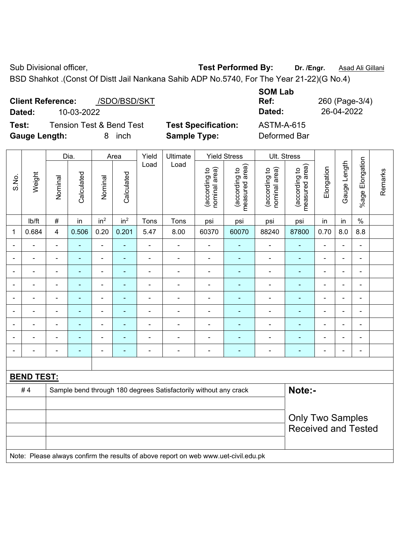BSD Shahkot .(Const Of Distt Jail Nankana Sahib ADP No.5740, For The Year 21-22)(G No.4)

|        | <b>Client Reference:</b> | /SDO/BSD/SKT                        |               |
|--------|--------------------------|-------------------------------------|---------------|
| Dated: | 10-03-2022               |                                     |               |
| Test:  |                          | <b>Tension Test &amp; Bend Test</b> | <b>Test S</b> |

**Specification:** ASTM-A-615

**SOM Lab Ref:** 260 (Page-3/4) **Dated:** 10-03-2022 **Dated:** 26-04-2022

**Gauge Length:** 8 inch **Sample Type:** Deformed Bar

|  | inch |  |
|--|------|--|
|--|------|--|

|                          |                   | Dia.           |                | Area                         |                          | Yield          | Ultimate                                                         |                                | <b>Yield Stress</b>             | Ult. Stress                    |                                 |                          |                |                          |         |
|--------------------------|-------------------|----------------|----------------|------------------------------|--------------------------|----------------|------------------------------------------------------------------|--------------------------------|---------------------------------|--------------------------------|---------------------------------|--------------------------|----------------|--------------------------|---------|
| S.No.                    | Weight            | Nominal        | Calculated     | Nominal                      | Calculated               | Load           | Load                                                             | nominal area)<br>(according to | (according to<br>measured area) | nominal area)<br>(according to | (according to<br>measured area) | Elongation               | Gauge Length   | %age Elongation          | Remarks |
|                          | Ib/ft             | $\#$           | in             | in <sup>2</sup>              | in <sup>2</sup>          | Tons           | Tons                                                             | psi                            | psi                             | psi                            | psi                             | in                       | in             | $\%$                     |         |
| $\mathbf{1}$             | 0.684             | $\overline{4}$ | 0.506          | 0.20                         | 0.201                    | 5.47           | 8.00                                                             | 60370                          | 60070                           | 88240                          | 87800                           | 0.70                     | 8.0            | 8.8                      |         |
|                          |                   | $\blacksquare$ | ÷,             | $\qquad \qquad \blacksquare$ |                          | ä,             | ÷                                                                | $\blacksquare$                 |                                 | $\blacksquare$                 | $\blacksquare$                  | ä,                       |                | $\blacksquare$           |         |
|                          |                   | $\blacksquare$ | ÷,             | ä,                           | ÷,                       | $\blacksquare$ | ä,                                                               | $\blacksquare$                 |                                 | $\overline{\phantom{a}}$       |                                 | $\blacksquare$           |                | ä,                       |         |
| $\overline{\phantom{a}}$ | ۰                 | $\blacksquare$ | $\blacksquare$ | $\overline{\phantom{a}}$     | $\blacksquare$           | $\blacksquare$ | ÷                                                                | $\blacksquare$                 | ۰                               | $\overline{a}$                 | $\blacksquare$                  | $\overline{\phantom{a}}$ | $\blacksquare$ | $\overline{\phantom{a}}$ |         |
| $\blacksquare$           |                   | $\blacksquare$ | L,             | $\qquad \qquad \blacksquare$ | $\overline{\phantom{a}}$ | $\blacksquare$ | ÷                                                                | $\blacksquare$                 |                                 | $\blacksquare$                 | ÷,                              | $\blacksquare$           |                | $\blacksquare$           |         |
|                          |                   |                | ÷,             | $\blacksquare$               | ٠                        | Ē,             | $\blacksquare$                                                   | $\blacksquare$                 |                                 | $\blacksquare$                 | $\blacksquare$                  | $\overline{\phantom{0}}$ |                | $\blacksquare$           |         |
| $\blacksquare$           |                   | $\blacksquare$ | ۰              | ÷                            | $\blacksquare$           | $\blacksquare$ | ÷                                                                | $\blacksquare$                 |                                 | $\blacksquare$                 | ٠                               | $\blacksquare$           | $\blacksquare$ | $\blacksquare$           |         |
| $\blacksquare$           |                   | $\blacksquare$ | ÷,             | $\blacksquare$               | $\blacksquare$           | $\blacksquare$ | $\blacksquare$                                                   | $\blacksquare$                 | $\blacksquare$                  | $\blacksquare$                 | $\overline{\phantom{0}}$        | $\overline{\phantom{0}}$ | ÷              | $\blacksquare$           |         |
| $\blacksquare$           |                   | $\blacksquare$ | ä,             | $\qquad \qquad \blacksquare$ | $\overline{\phantom{a}}$ | $\blacksquare$ | $\blacksquare$                                                   | $\blacksquare$                 | ۰                               | $\blacksquare$                 | $\blacksquare$                  | $\blacksquare$           |                | $\blacksquare$           |         |
|                          |                   |                | ۰              |                              |                          | $\blacksquare$ | $\blacksquare$                                                   | $\qquad \qquad \blacksquare$   |                                 |                                |                                 | $\blacksquare$           |                | $\blacksquare$           |         |
|                          |                   |                |                |                              |                          |                |                                                                  |                                |                                 |                                |                                 |                          |                |                          |         |
|                          | <b>BEND TEST:</b> |                |                |                              |                          |                |                                                                  |                                |                                 |                                |                                 |                          |                |                          |         |
|                          | #4                |                |                |                              |                          |                | Sample bend through 180 degrees Satisfactorily without any crack |                                |                                 |                                | Note:-                          |                          |                |                          |         |
|                          |                   |                |                |                              |                          |                |                                                                  |                                |                                 |                                |                                 |                          |                |                          |         |
|                          |                   |                |                |                              |                          |                |                                                                  |                                | <b>Only Two Samples</b>         |                                |                                 |                          |                |                          |         |
|                          |                   |                |                |                              |                          |                |                                                                  |                                |                                 |                                | <b>Received and Tested</b>      |                          |                |                          |         |
|                          |                   |                |                |                              |                          |                |                                                                  |                                |                                 |                                |                                 |                          |                |                          |         |

Note: Please always confirm the results of above report on web www.uet-civil.edu.pk